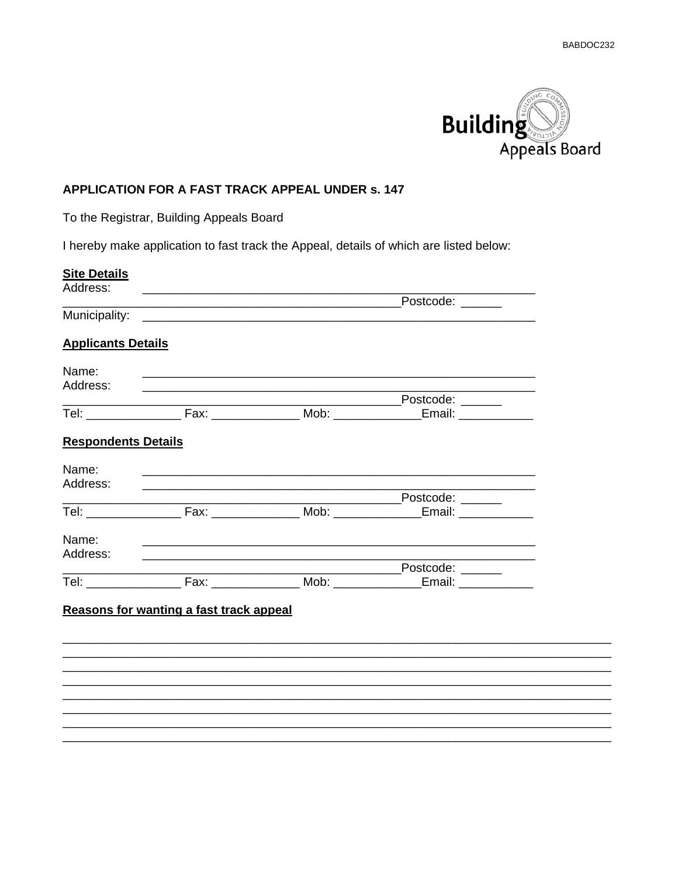$\overline{\phantom{a}}$ 



## APPLICATION FOR A FAST TRACK APPEAL UNDER s. 147

To the Registrar, Building Appeals Board

I hereby make application to fast track the Appeal, details of which are listed below:

| Address:<br><b>Applicants Details</b><br>Name:                                                                                    |  |
|-----------------------------------------------------------------------------------------------------------------------------------|--|
|                                                                                                                                   |  |
|                                                                                                                                   |  |
|                                                                                                                                   |  |
|                                                                                                                                   |  |
|                                                                                                                                   |  |
| Address:                                                                                                                          |  |
| _______________________Postcode: _________                                                                                        |  |
| Tel: ______________________Fax: ___________________Mob: ___________________Email: ________________                                |  |
| <b>Respondents Details</b>                                                                                                        |  |
| Name:                                                                                                                             |  |
| Address:<br><u> 1989 - Johann Stoff, deutscher Stoff, der Stoff, der Stoff, der Stoff, der Stoff, der Stoff, der Stoff, der S</u> |  |
| Postcode: ______                                                                                                                  |  |
|                                                                                                                                   |  |
| Name:                                                                                                                             |  |
| Address:                                                                                                                          |  |
|                                                                                                                                   |  |
|                                                                                                                                   |  |
|                                                                                                                                   |  |
| Reasons for wanting a fast track appeal                                                                                           |  |
|                                                                                                                                   |  |
|                                                                                                                                   |  |
|                                                                                                                                   |  |
|                                                                                                                                   |  |
|                                                                                                                                   |  |
|                                                                                                                                   |  |
|                                                                                                                                   |  |
|                                                                                                                                   |  |